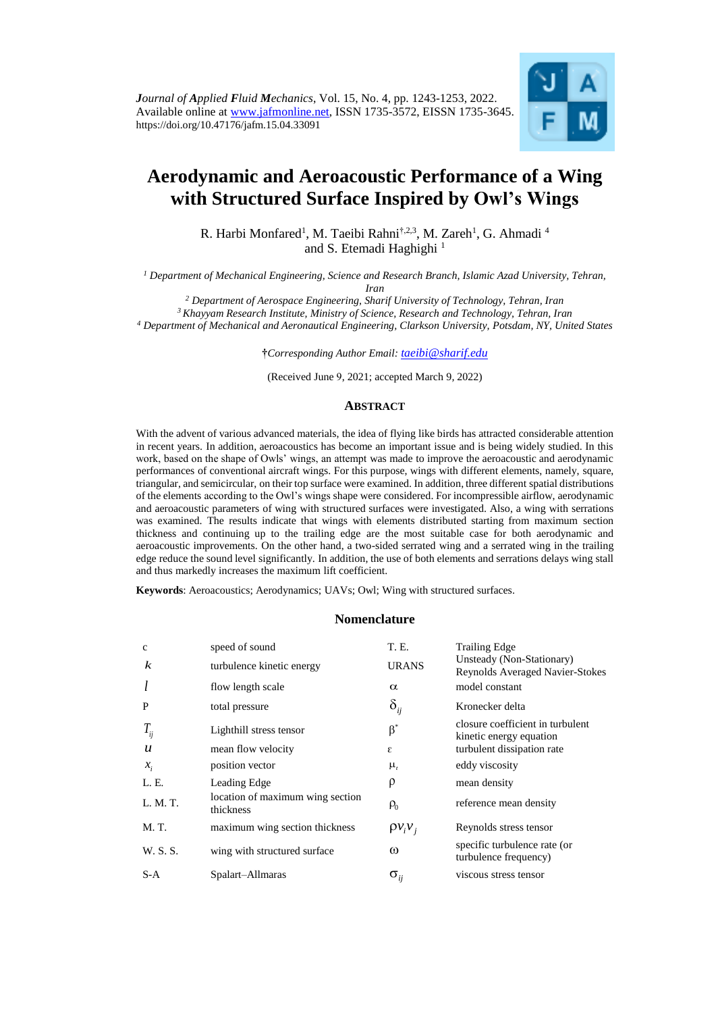

# **Aerodynamic and Aeroacoustic Performance of a Wing with Structured Surface Inspired by Owl's Wings**

R. Harbi Monfared<sup>1</sup>, M. Taeibi Rahni<sup>†,2,3</sup>, M. Zareh<sup>1</sup>, G. Ahmadi<sup>4</sup> and S. Etemadi Haghighi<sup>1</sup>

*<sup>1</sup> Department of Mechanical Engineering, Science and Research Branch, Islamic Azad University, Tehran, Iran*

*<sup>2</sup> Department of Aerospace Engineering, Sharif University of Technology, Tehran, Iran <sup>3</sup> Khayyam Research Institute, Ministry of Science, Research and Technology, Tehran, Iran*

*<sup>4</sup> Department of Mechanical and Aeronautical Engineering, Clarkson University, Potsdam, NY, United States*

**†***Corresponding Author Email: [taeibi@sharif.edu](mailto:taeibi@sharif.edu)*

(Received June 9, 2021; accepted March 9*,* 2022)

# **ABSTRACT**

With the advent of various advanced materials, the idea of flying like birds has attracted considerable attention in recent years. In addition, aeroacoustics has become an important issue and is being widely studied. In this work, based on the shape of Owls' wings, an attempt was made to improve the aeroacoustic and aerodynamic performances of conventional aircraft wings. For this purpose, wings with different elements, namely, square, triangular, and semicircular, on their top surface were examined. In addition, three different spatial distributions of the elements according to the Owl's wings shape were considered. For incompressible airflow, aerodynamic and aeroacoustic parameters of wing with structured surfaces were investigated. Also, a wing with serrations was examined. The results indicate that wings with elements distributed starting from maximum section thickness and continuing up to the trailing edge are the most suitable case for both aerodynamic and aeroacoustic improvements. On the other hand, a two-sided serrated wing and a serrated wing in the trailing edge reduce the sound level significantly. In addition, the use of both elements and serrations delays wing stall and thus markedly increases the maximum lift coefficient.

**Keywords**: Aeroacoustics; Aerodynamics; UAVs; Owl; Wing with structured surfaces.

# **Nomenclature**

| $\mathbf{C}$     | speed of sound                                | T. E.                             | <b>Trailing Edge</b>                                                |
|------------------|-----------------------------------------------|-----------------------------------|---------------------------------------------------------------------|
| k                | turbulence kinetic energy                     | <b>URANS</b>                      | Unsteady (Non-Stationary)<br><b>Reynolds Averaged Navier-Stokes</b> |
|                  | flow length scale                             | $\alpha$                          | model constant                                                      |
| P                | total pressure                                | $\delta_{ij}$                     | Kronecker delta                                                     |
| $T_{ij}$         | Lighthill stress tensor                       | $\beta^*$                         | closure coefficient in turbulent<br>kinetic energy equation         |
| $\boldsymbol{u}$ | mean flow velocity                            | ε                                 | turbulent dissipation rate                                          |
| $x_i$            | position vector                               | $\mu_{t}$                         | eddy viscosity                                                      |
| L. E.            | Leading Edge                                  | ρ                                 | mean density                                                        |
| L. M. T.         | location of maximum wing section<br>thickness | $\rho_{0}$                        | reference mean density                                              |
| M. T.            | maximum wing section thickness                | $\rho v_i v_i$                    | Reynolds stress tensor                                              |
| W. S. S.         | wing with structured surface                  | $\omega$                          | specific turbulence rate (or<br>turbulence frequency)               |
| $S-A$            | Spalart-Allmaras                              | $\sigma_{\scriptscriptstyle{ii}}$ | viscous stress tensor                                               |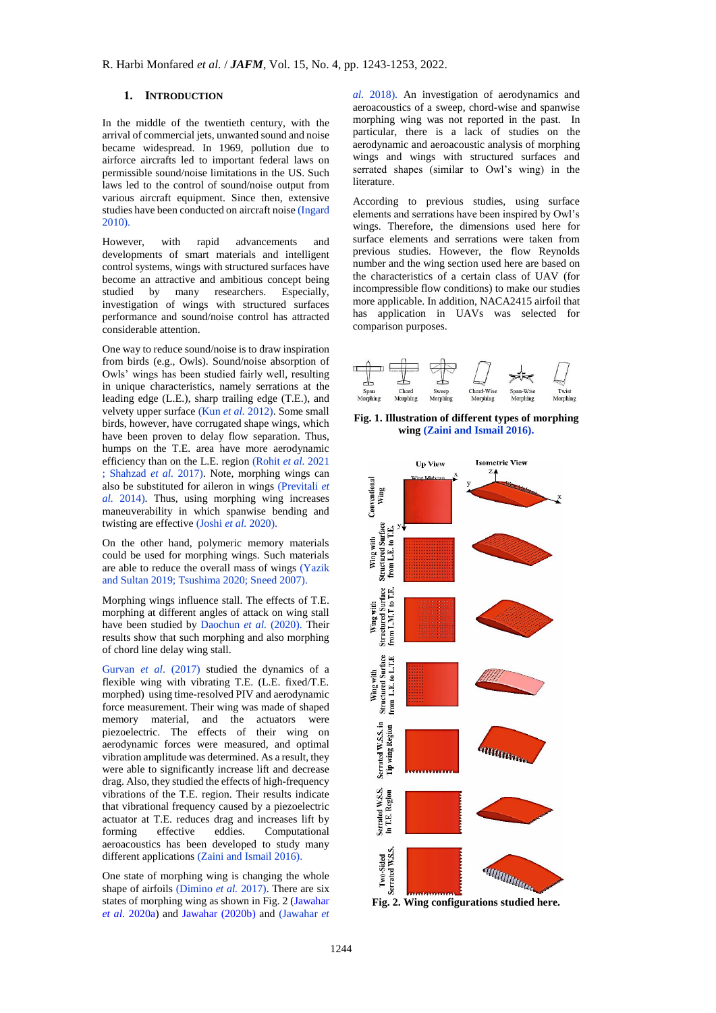## **1. INTRODUCTION**

In the middle of the twentieth century, with the arrival of commercial jets, unwanted sound and noise became widespread. In 1969, pollution due to airforce aircrafts led to important federal laws on permissible sound/noise limitations in the US. Such laws led to the control of sound/noise output from various aircraft equipment. Since then, extensive studies have been conducted on aircraft noise [\(Ingard](#page-9-0)  [2010\).](#page-9-0)

However, with rapid advancements and developments of smart materials and intelligent control systems, wings with structured surfaces have become an attractive and ambitious concept being studied by many researchers. Especially, investigation of wings with structured surfaces performance and sound/noise control has attracted considerable attention.

One way to reduce sound/noise is to draw inspiration from birds (e.g., Owls). Sound/noise absorption of Owls' wings has been studied fairly well, resulting in unique characteristics, namely serrations at the leading edge (L.E.), sharp trailing edge (T.E.), and velvety upper surface (Kun *et al.* [2012\).](#page-9-1) Some small birds, however, have corrugated shape wings, which have been proven to delay flow separation. Thus, humps on the T.E. area have more aerodynamic efficiency than on the L.E. region [\(Rohit](#page-9-2) *et al.* 2021 ; [Shahzad](#page-9-3) *et al.* 2017). Note, morphing wings can also be substituted for aileron in wings [\(Previtali](#page-9-4) *et al.* [2014\).](#page-9-4) Thus, using morphing wing increases maneuverability in which spanwise bending and twisting are effective [\(Joshi](#page-9-5) *et al.* 2020).

On the other hand, polymeric memory materials could be used for morphing wings. Such materials are able to reduce the overall mass of wings [\(Yazik](#page-10-0)  [and Sultan](#page-10-0) 2019; [Tsushima](#page-10-1) 2020; Sneed [2007\).](#page-10-2)

Morphing wings influence stall. The effects of T.E. morphing at different angles of attack on wing stall have been studied by [Daochun](#page-9-6) et al. (2020). Their results show that such morphing and also morphing of chord line delay wing stall.

Gurvan *et al*[. \(2017\)](#page-9-7) studied the dynamics of a flexible wing with vibrating T.E. (L.E. fixed/T.E. morphed) using time-resolved PIV and aerodynamic force measurement. Their wing was made of shaped memory material, and the actuators were piezoelectric. The effects of their wing on aerodynamic forces were measured, and optimal vibration amplitude was determined. As a result, they were able to significantly increase lift and decrease drag. Also, they studied the effects of high-frequency vibrations of the T.E. region. Their results indicate that vibrational frequency caused by a piezoelectric actuator at T.E. reduces drag and increases lift by<br>forming effective eddies. Computational forming effective eddies. Computational aeroacoustics has been developed to study many different applications [\(Zaini and Ismail](#page-10-3) 2016).

One state of morphing wing is changing the whole shape of airfoils [\(Dimino](#page-9-8) *et al.* 2017). There are six states of morphing wing as shown i[n Fig. 2](#page-1-0) [\(Jawahar](#page-9-9) *et al.* [2020a\)](#page-9-9) and [Jawahar \(2020b\)](#page-9-9) and [\(Jawahar](#page-9-9) *et*  *al.* [2018\).](#page-9-9) An investigation of aerodynamics and aeroacoustics of a sweep, chord-wise and spanwise morphing wing was not reported in the past. In particular, there is a lack of studies on the aerodynamic and aeroacoustic analysis of morphing wings and wings with structured surfaces and serrated shapes (similar to Owl's wing) in the literature.

According to previous studies, using surface elements and serrations have been inspired by Owl's wings. Therefore, the dimensions used here for surface elements and serrations were taken from previous studies. However, the flow Reynolds number and the wing section used here are based on the characteristics of a certain class of UAV (for incompressible flow conditions) to make our studies more applicable. In addition, NACA2415 airfoil that has application in UAVs was selected for comparison purposes.



**Fig. 1. Illustration of different types of morphing wing [\(Zaini and Ismail](#page-10-3) 2016).** 



<span id="page-1-0"></span>**Fig. 2. Wing configurations studied here.**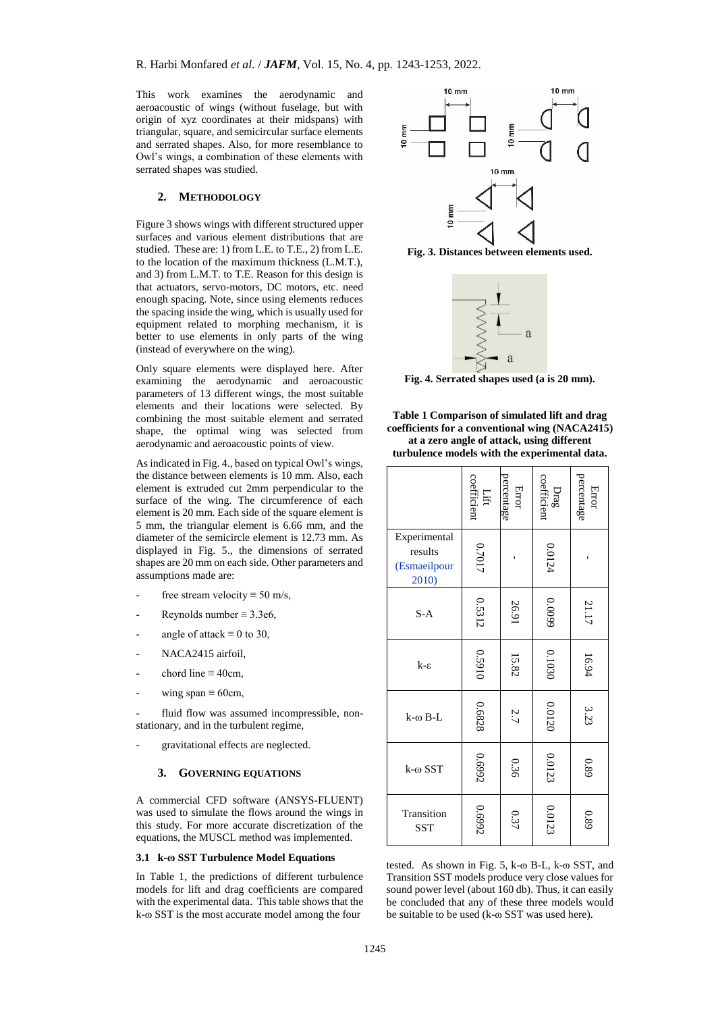This work examines the aerodynamic and aeroacoustic of wings (without fuselage, but with origin of xyz coordinates at their midspans) with triangular, square, and semicircular surface elements and serrated shapes. Also, for more resemblance to Owl's wings, a combination of these elements with serrated shapes was studied.

# **2. METHODOLOGY**

Figure 3 shows wings with different structured upper surfaces and various element distributions that are studied. These are: 1) from L.E. to T.E., 2) from L.E. to the location of the maximum thickness (L.M.T.), and 3) from L.M.T. to T.E. Reason for this design is that actuators, servo-motors, DC motors, etc. need enough spacing. Note, since using elements reduces the spacing inside the wing, which is usually used for equipment related to morphing mechanism, it is better to use elements in only parts of the wing (instead of everywhere on the wing).

Only square elements were displayed here. After examining the aerodynamic and aeroacoustic parameters of 13 different wings, the most suitable elements and their locations were selected. By combining the most suitable element and serrated shape, the optimal wing was selected from aerodynamic and aeroacoustic points of view.

As indicated i[n Fig. 4.](#page-2-0), based on typical Owl's wings, the distance between elements is 10 mm. Also, each element is extruded cut 2mm perpendicular to the surface of the wing. The circumference of each element is 20 mm. Each side of the square element is 5 mm, the triangular element is 6.66 mm, and the diameter of the semicircle element is 12.73 mm. As displayed in [Fig. 5.](#page-3-0), the dimensions of serrated shapes are 20 mm on each side. Other parameters and assumptions made are:

- free stream velocity  $\equiv$  50 m/s,
- Reynolds number  $\equiv 3.3e6$ .
- angle of attack  $\equiv 0$  to 30,
- NACA2415 airfoil.
- chord line  $\equiv$  40cm,
- wing span  $\equiv$  60cm,

fluid flow was assumed incompressible, nonstationary, and in the turbulent regime,

gravitational effects are neglected.

#### **3. GOVERNING EQUATIONS**

A commercial CFD software (ANSYS-FLUENT) was used to simulate the flows around the wings in this study. For more accurate discretization of the equations, the MUSCL method was implemented.

#### **3.1 k-ɷ SST Turbulence Model Equations**

In [Table 1,](#page-2-1) the predictions of different turbulence models for lift and drag coefficients are compared with the experimental data. This table shows that the k- $\omega$  SST is the most accurate model among the four



**Fig. 3. Distances between elements used.**



**Fig. 4. Serrated shapes used (a is 20 mm).**

<span id="page-2-1"></span><span id="page-2-0"></span>**Table 1 Comparison of simulated lift and drag coefficients for a conventional wing (NACA2415) at a zero angle of attack, using different turbulence models with the experimental data.**

|                                                  | coefficient<br>Lift | percentage<br>Error | Drag<br>coefficient | percentage<br>Error |
|--------------------------------------------------|---------------------|---------------------|---------------------|---------------------|
| Experimental<br>results<br>(Esmaeilpour<br>2010) | 0.7017              |                     | 0.0124              | ı                   |
| $S-A$                                            | 0.5312              | 26.91               | 6600'0              | 21.17               |
| $k - \varepsilon$                                | 01650               | 15.82               | 0.1030              | 16.94               |
| k-ω B-L                                          | 0.6828              | 2.7                 | 0.0120              | 3.23                |
| k-ω SST                                          | 76690               | 0.36                | 0.0123              | 68'0                |
| Transition<br>SST                                | 76690               | 0.37                | 0.0123              | 680                 |

tested. As shown in Fig.  $5$ , k- $\omega$  B-L, k- $\omega$  SST, and Transition SST models produce very close values for sound power level (about 160 db). Thus, it can easily be concluded that any of these three models would be suitable to be used (k- $\omega$  SST was used here).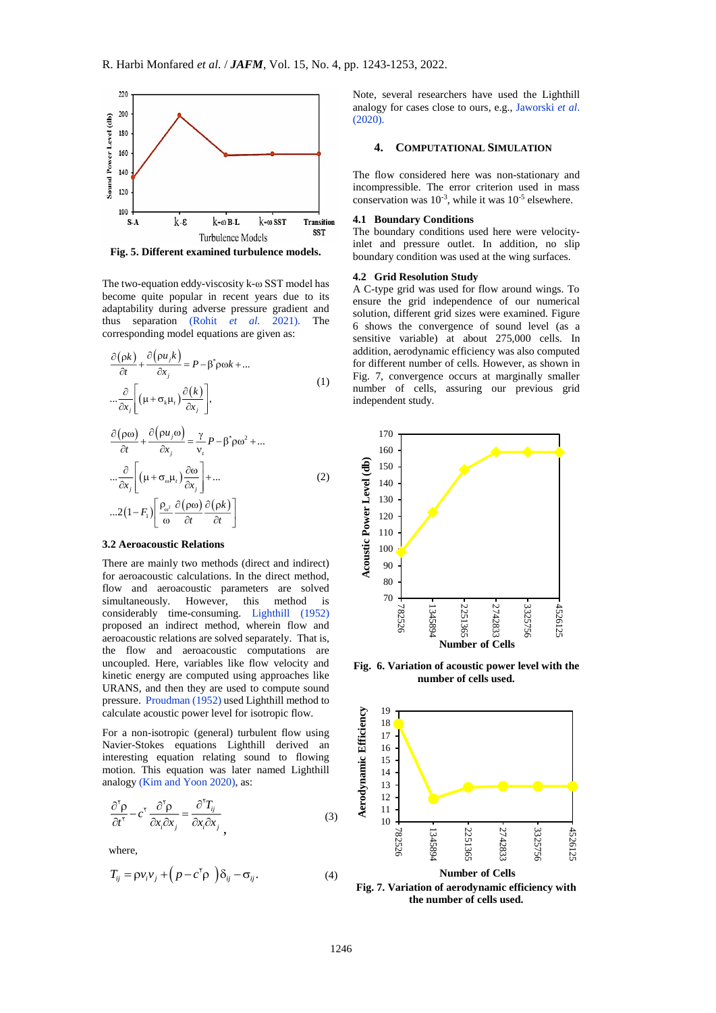

<span id="page-3-0"></span>**Fig. 5. Different examined turbulence models.**

The two-equation eddy-viscosity k-ω SST model has become quite popular in recent years due to its adaptability during adverse pressure gradient and thus separation [\(Rohit](#page-9-2) *et al.* 2021). The corresponding model equations are given as:

$$
\frac{\partial(\rho k)}{\partial t} + \frac{\partial(\rho u_j k)}{\partial x_j} = P - \beta^* \rho \omega k + ...
$$
  

$$
\dots \frac{\partial}{\partial x_j} \left[ \left( \mu + \sigma_k \mu_t \right) \frac{\partial(k)}{\partial x_j} \right],
$$
 (1)

$$
\frac{\partial(\rho\omega)}{\partial t} + \frac{\partial(\rho u_j \omega)}{\partial x_j} = \frac{\gamma}{v_t} P - \beta^* \rho \omega^2 + \dots
$$

$$
\dots \frac{\partial}{\partial x_j} \left[ \left( \mu + \sigma_\omega \mu_t \right) \frac{\partial \omega}{\partial x_j} \right] + \dots
$$

$$
\dots 2 \left( 1 - F_1 \right) \left[ \frac{\rho_\omega^2}{\omega} \frac{\partial(\rho\omega)}{\partial t} \frac{\partial(\rho k)}{\partial t} \right]
$$
(2)

## **3.2 Aeroacoustic Relations**

There are mainly two methods (direct and indirect) for aeroacoustic calculations. In the direct method, flow and aeroacoustic parameters are solved simultaneously. However, this method is considerably time-consuming. [Lighthill \(1952\)](#page-9-11) proposed an indirect method, wherein flow and aeroacoustic relations are solved separately. That is, the flow and aeroacoustic computations are uncoupled. Here, variables like flow velocity and kinetic energy are computed using approaches like URANS, and then they are used to compute sound pressure. [Proudman \(1952\)](#page-9-12) used Lighthill method to calculate acoustic power level for isotropic flow.

For a non-isotropic (general) turbulent flow using Navier-Stokes equations Lighthill derived an interesting equation relating sound to flowing motion. This equation was later named Lighthill analogy [\(Kim and Yoon](#page-9-13) 2020), as:

$$
\frac{\partial^{\gamma} \rho}{\partial t^{\gamma}} - c^{\gamma} \frac{\partial^{\gamma} \rho}{\partial x_i \partial x_j} = \frac{\partial^{\gamma} T_{ij}}{\partial x_i \partial x_j}
$$
 (3)

where,

$$
T_{ij} = \rho v_i v_j + (p - c^{\dagger} \rho) \delta_{ij} - \sigma_{ij}.
$$
 (4)

Note, several researchers have used the Lighthill analogy for cases close to ours, e.g., [Jaworski](#page-3-1) *et al*.  $(2020)$ .

#### <span id="page-3-1"></span>**4. COMPUTATIONAL SIMULATION**

The flow considered here was non-stationary and incompressible. The error criterion used in mass conservation was  $10^{-3}$ , while it was  $10^{-5}$  elsewhere.

#### **4.1 Boundary Conditions**

The boundary conditions used here were velocityinlet and pressure outlet. In addition, no slip boundary condition was used at the wing surfaces.

### **4.2 Grid Resolution Study**

A C-type grid was used for flow around wings. To ensure the grid independence of our numerical solution, different grid sizes were examined. Figure 6 shows the convergence of sound level (as a sensitive variable) at about 275,000 cells. In addition, aerodynamic efficiency was also computed for different number of cells. However, as shown in Fig. 7, convergence occurs at marginally smaller number of cells, assuring our previous grid independent study.



**Fig. 6. Variation of acoustic power level with the number of cells used.**



**Fig. 7. Variation of aerodynamic efficiency with the number of cells used.**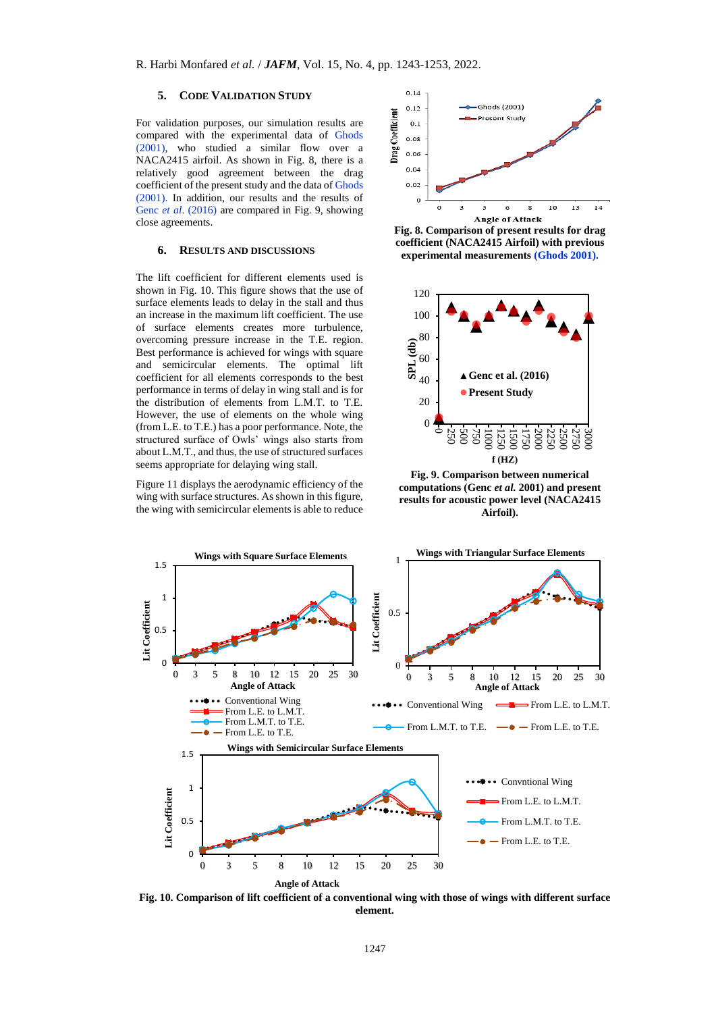# **5. CODE VALIDATION STUDY**

For validation purposes, our simulation results are compared with the experimental data of [Ghods](#page-9-14)  [\(2001\),](#page-9-14) who studied a similar flow over a NACA2415 airfoil. As shown in [Fig. 8,](#page-4-0) there is a relatively good agreement between the drag coefficient of the present study and the data o[f Ghods](#page-9-14)  [\(2001\).](#page-9-14) In addition, our results and the results of Genc *et al.* (2016) are compared in [Fig.](#page-4-1) 9, showing close agreements.

## **6. RESULTS AND DISCUSSIONS**

The lift coefficient for different elements used is shown in Fig. 10. This figure shows that the use of surface elements leads to delay in the stall and thus an increase in the maximum lift coefficient. The use of surface elements creates more turbulence, overcoming pressure increase in the T.E. region. Best performance is achieved for wings with square and semicircular elements. The optimal lift coefficient for all elements corresponds to the best performance in terms of delay in wing stall and is for the distribution of elements from L.M.T. to T.E. However, the use of elements on the whole wing (from L.E. to T.E.) has a poor performance. Note, the structured surface of Owls' wings also starts from about L.M.T., and thus, the use of structured surfaces seems appropriate for delaying wing stall.

Figure 11 displays the aerodynamic efficiency of the wing with surface structures. As shown in this figure, the wing with semicircular elements is able to reduce



<span id="page-4-0"></span>



<span id="page-4-1"></span>**Fig. 9. Comparison between numerical computations (Genc** *et al.* **2001) and present results for acoustic power level (NACA2415 Airfoil).** 



**Fig. 10. Comparison of lift coefficient of a conventional wing with those of wings with different surface element.**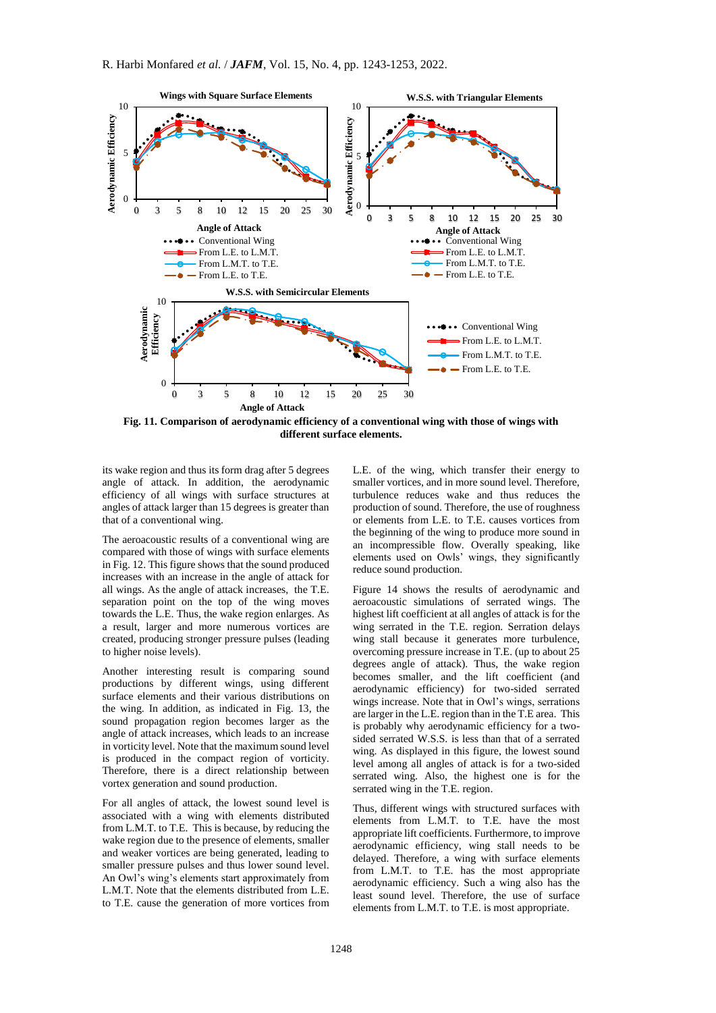

**Fig. 11. Comparison of aerodynamic efficiency of a conventional wing with those of wings with different surface elements.**

its wake region and thus its form drag after 5 degrees angle of attack. In addition, the aerodynamic efficiency of all wings with surface structures at angles of attack larger than 15 degrees is greater than that of a conventional wing.

The aeroacoustic results of a conventional wing are compared with those of wings with surface elements i[n Fig.](#page-6-0) 12. This figure shows that the sound produced increases with an increase in the angle of attack for all wings. As the angle of attack increases, the T.E. separation point on the top of the wing moves towards the L.E. Thus, the wake region enlarges. As a result, larger and more numerous vortices are created, producing stronger pressure pulses (leading to higher noise levels).

Another interesting result is comparing sound productions by different wings, using different surface elements and their various distributions on the wing. In addition, as indicated in [Fig. 13,](#page-6-1) the sound propagation region becomes larger as the angle of attack increases, which leads to an increase in vorticity level. Note that the maximum sound level is produced in the compact region of vorticity. Therefore, there is a direct relationship between vortex generation and sound production.

For all angles of attack, the lowest sound level is associated with a wing with elements distributed from L.M.T. to T.E. This is because, by reducing the wake region due to the presence of elements, smaller and weaker vortices are being generated, leading to smaller pressure pulses and thus lower sound level. An Owl's wing's elements start approximately from L.M.T. Note that the elements distributed from L.E. to T.E. cause the generation of more vortices from

L.E. of the wing, which transfer their energy to smaller vortices, and in more sound level. Therefore, turbulence reduces wake and thus reduces the production of sound. Therefore, the use of roughness or elements from L.E. to T.E. causes vortices from the beginning of the wing to produce more sound in an incompressible flow. Overally speaking, like elements used on Owls' wings, they significantly reduce sound production.

Figure 14 shows the results of aerodynamic and aeroacoustic simulations of serrated wings. The highest lift coefficient at all angles of attack is for the wing serrated in the T.E. region. Serration delays wing stall because it generates more turbulence, overcoming pressure increase in T.E. (up to about 25 degrees angle of attack). Thus, the wake region becomes smaller, and the lift coefficient (and aerodynamic efficiency) for two-sided serrated wings increase. Note that in Owl's wings, serrations are larger in the L.E. region than in the T.E area. This is probably why aerodynamic efficiency for a twosided serrated W.S.S. is less than that of a serrated wing. As displayed in this figure, the lowest sound level among all angles of attack is for a two-sided serrated wing. Also, the highest one is for the serrated wing in the T.E. region.

Thus, different wings with structured surfaces with elements from L.M.T. to T.E. have the most appropriate lift coefficients. Furthermore, to improve aerodynamic efficiency, wing stall needs to be delayed. Therefore, a wing with surface elements from L.M.T. to T.E. has the most appropriate aerodynamic efficiency. Such a wing also has the least sound level. Therefore, the use of surface elements from L.M.T. to T.E. is most appropriate.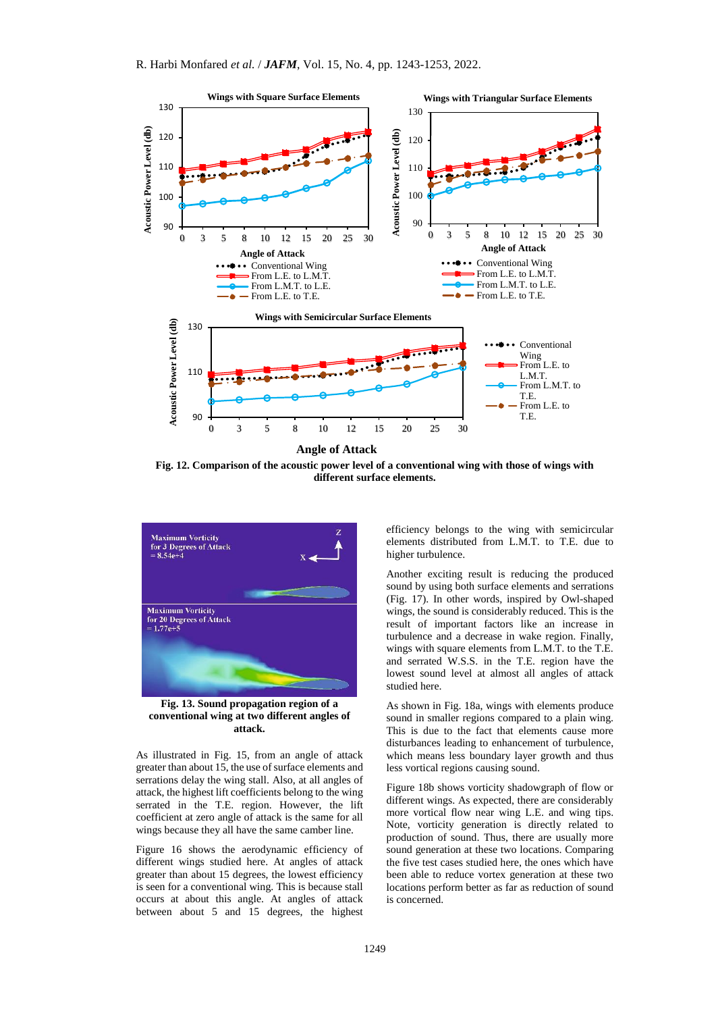

<span id="page-6-0"></span>**Fig. 12. Comparison of the acoustic power level of a conventional wing with those of wings with different surface elements.**



<span id="page-6-1"></span>**Fig. 13. Sound propagation region of a conventional wing at two different angles of attack.**

As illustrated in [Fig. 15,](#page-7-0) from an angle of attack greater than about 15, the use of surface elements and serrations delay the wing stall. Also, at all angles of attack, the highest lift coefficients belong to the wing serrated in the T.E. region. However, the lift coefficient at zero angle of attack is the same for all wings because they all have the same camber line.

Figure 16 shows the aerodynamic efficiency of different wings studied here. At angles of attack greater than about 15 degrees, the lowest efficiency is seen for a conventional wing. This is because stall occurs at about this angle. At angles of attack between about 5 and 15 degrees, the highest

efficiency belongs to the wing with semicircular elements distributed from L.M.T. to T.E. due to higher turbulence.

Another exciting result is reducing the produced sound by using both surface elements and serrations [\(Fig. 17\)](#page-8-0). In other words, inspired by Owl-shaped wings, the sound is considerably reduced. This is the result of important factors like an increase in turbulence and a decrease in wake region. Finally, wings with square elements from L.M.T. to the T.E. and serrated W.S.S. in the T.E. region have the lowest sound level at almost all angles of attack studied here.

As shown in Fig. 18a, wings with elements produce sound in smaller regions compared to a plain wing. This is due to the fact that elements cause more disturbances leading to enhancement of turbulence, which means less boundary layer growth and thus less vortical regions causing sound.

Figure 18b shows vorticity shadowgraph of flow or different wings. As expected, there are considerably more vortical flow near wing L.E. and wing tips. Note, vorticity generation is directly related to production of sound. Thus, there are usually more sound generation at these two locations. Comparing the five test cases studied here, the ones which have been able to reduce vortex generation at these two locations perform better as far as reduction of sound is concerned.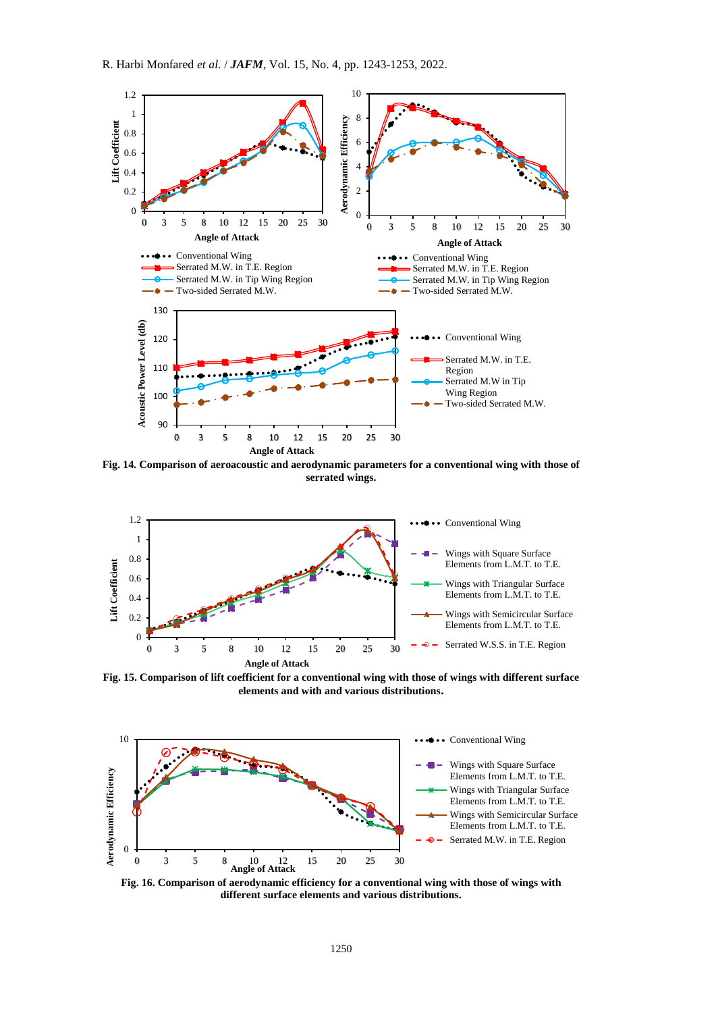

**Fig. 14. Comparison of aeroacoustic and aerodynamic parameters for a conventional wing with those of serrated wings.**



<span id="page-7-0"></span>**Fig. 15. Comparison of lift coefficient for a conventional wing with those of wings with different surface elements and with and various distributions.**



**Fig. 16. Comparison of aerodynamic efficiency for a conventional wing with those of wings with different surface elements and various distributions.**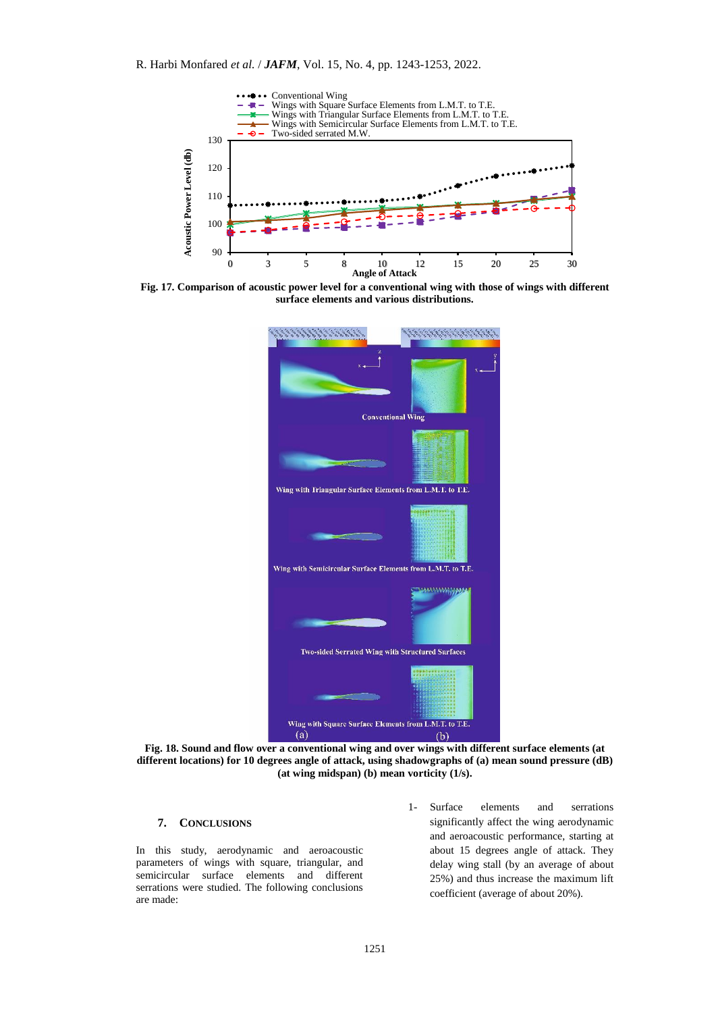

<span id="page-8-0"></span>**Fig. 17. Comparison of acoustic power level for a conventional wing with those of wings with different surface elements and various distributions.**



**Fig. 18. Sound and flow over a conventional wing and over wings with different surface elements (at different locations) for 10 degrees angle of attack, using shadowgraphs of (a) mean sound pressure (dB) (at wing midspan) (b) mean vorticity (1/s).**

# **7. CONCLUSIONS**

In this study, aerodynamic and aeroacoustic parameters of wings with square, triangular, and semicircular surface elements and different serrations were studied. The following conclusions are made:

1- Surface elements and serrations significantly affect the wing aerodynamic and aeroacoustic performance, starting at about 15 degrees angle of attack. They delay wing stall (by an average of about 25%) and thus increase the maximum lift coefficient (average of about 20%).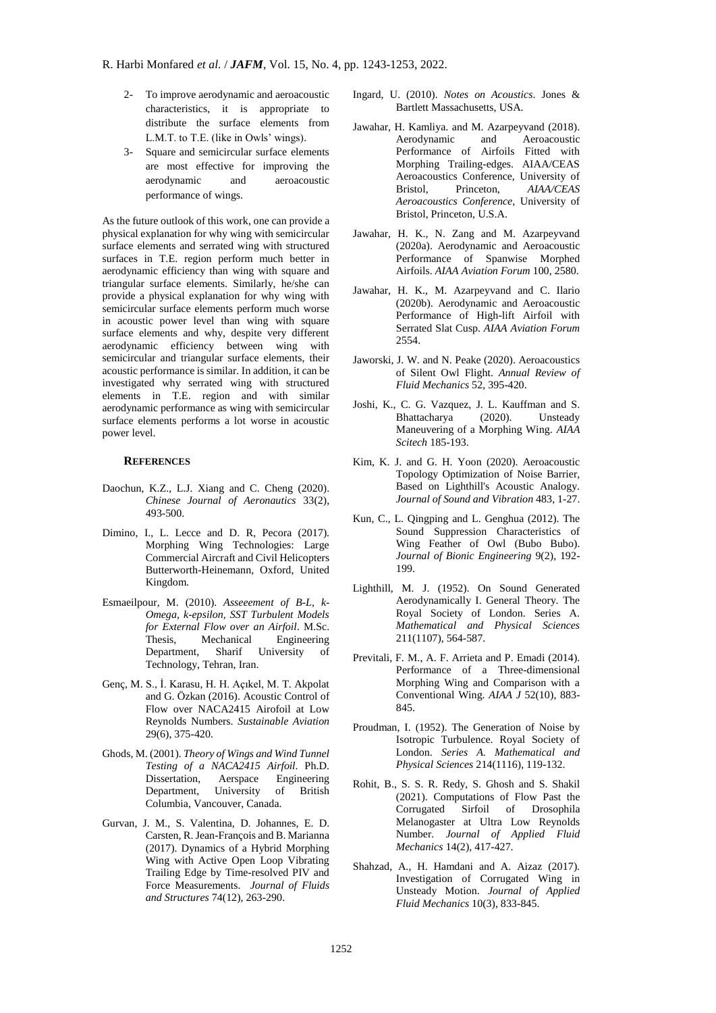- 2- To improve aerodynamic and aeroacoustic characteristics, it is appropriate to distribute the surface elements from L.M.T. to T.E. (like in Owls' wings).
- 3- Square and semicircular surface elements are most effective for improving the aerodynamic and aeroacoustic performance of wings.

As the future outlook of this work, one can provide a physical explanation for why wing with semicircular surface elements and serrated wing with structured surfaces in T.E. region perform much better in aerodynamic efficiency than wing with square and triangular surface elements. Similarly, he/she can provide a physical explanation for why wing with semicircular surface elements perform much worse in acoustic power level than wing with square surface elements and why, despite very different aerodynamic efficiency between wing with semicircular and triangular surface elements, their acoustic performance is similar. In addition, it can be investigated why serrated wing with structured elements in T.E. region and with similar aerodynamic performance as wing with semicircular surface elements performs a lot worse in acoustic power level.

## **REFERENCES**

- <span id="page-9-6"></span>Daochun, K.Z., L.J. Xiang and C. Cheng (2020). *Chinese Journal of Aeronautics* 33(2), 493-500.
- <span id="page-9-8"></span>Dimino, I., L. Lecce and D. R, Pecora (2017). Morphing Wing Technologies: Large Commercial Aircraft and Civil Helicopters Butterworth-Heinemann, Oxford, United Kingdom.
- <span id="page-9-10"></span>Esmaeilpour, M. (2010). *Asseeement of B-L, k-Omega, k-epsilon, SST Turbulent Models for External Flow over an Airfoil*. M.Sc. Thesis, Mechanical Engineering Department, Sharif University of Technology, Tehran, Iran.
- <span id="page-9-15"></span>Genç, M. S., İ. Karasu, H. H. Açıkel, M. T. Akpolat and G. Özkan (2016). Acoustic Control of Flow over NACA2415 Airofoil at Low Reynolds Numbers. *Sustainable Aviation* 29(6), 375-420.
- <span id="page-9-14"></span>Ghods, M. (2001). *Theory of Wings and Wind Tunnel Testing of a NACA2415 Airfoil*. Ph.D. Dissertation, Aerspace Engineering Department, University of British Columbia, Vancouver, Canada.
- <span id="page-9-7"></span>Gurvan, J. M., S. Valentina, D. Johannes, E. D. Carsten, R. Jean-François and B. Marianna (2017). Dynamics of a Hybrid Morphing Wing with Active Open Loop Vibrating Trailing Edge by Time-resolved PIV and Force Measurements. *Journal of Fluids and Structures* 74(12), 263-290.
- <span id="page-9-0"></span>Ingard, U. (2010). *Notes on Acoustics*. Jones & Bartlett Massachusetts, USA.
- <span id="page-9-9"></span>Jawahar, H. Kamliya. and M. Azarpeyvand (2018). Aerodynamic and Aeroacoustic Performance of Airfoils Fitted with Morphing Trailing-edges. AIAA/CEAS Aeroacoustics Conference, University of Bristol, Princeton, *AIAA/CEAS Aeroacoustics Conference*, University of Bristol, Princeton, U.S.A.
- Jawahar, H. K., N. Zang and M. Azarpeyvand (2020a). Aerodynamic and Aeroacoustic Performance of Spanwise Morphed Airfoils. *AIAA Aviation Forum* 100, 2580.
- Jawahar, H. K., M. Azarpeyvand and C. Ilario (2020b). Aerodynamic and Aeroacoustic Performance of High-lift Airfoil with Serrated Slat Cusp. *AIAA Aviation Forum* 2554.
- Jaworski, J. W. and N. Peake (2020). Aeroacoustics of Silent Owl Flight. *Annual Review of Fluid Mechanics* 52, 395-420.
- <span id="page-9-5"></span>Joshi, K., C. G. Vazquez, J. L. Kauffman and S. Bhattacharya (2020). Unsteady Maneuvering of a Morphing Wing. *AIAA Scitech* 185-193.
- <span id="page-9-13"></span>Kim, K. J. and G. H. Yoon (2020). Aeroacoustic Topology Optimization of Noise Barrier, Based on Lighthill's Acoustic Analogy. *Journal of Sound and Vibration* 483, 1-27.
- <span id="page-9-1"></span>Kun, C., L. Qingping and L. Genghua (2012). The Sound Suppression Characteristics of Wing Feather of Owl (Bubo Bubo). *Journal of Bionic Engineering* 9(2), 192- 199.
- <span id="page-9-11"></span>Lighthill, M. J. (1952). On Sound Generated Aerodynamically I. General Theory. The Royal Society of London. Series A. *Mathematical and Physical Sciences* 211(1107), 564-587.
- <span id="page-9-4"></span>Previtali, F. M., A. F. Arrieta and P. Emadi (2014). Performance of a Three-dimensional Morphing Wing and Comparison with a Conventional Wing. *AIAA J* 52(10), 883- 845.
- <span id="page-9-12"></span>Proudman, I. (1952). The Generation of Noise by Isotropic Turbulence. Royal Society of London. *Series A. Mathematical and Physical Sciences* 214(1116), 119-132.
- <span id="page-9-2"></span>Rohit, B., S. S. R. Redy, S. Ghosh and S. Shakil (2021). Computations of Flow Past the Corrugated Sirfoil of Drosophila Melanogaster at Ultra Low Reynolds Number. *Journal of Applied Fluid Mechanics* 14(2), 417-427.
- <span id="page-9-3"></span>Shahzad, A., H. Hamdani and A. Aizaz (2017). Investigation of Corrugated Wing in Unsteady Motion. *Journal of Applied Fluid Mechanics* 10(3), 833-845.